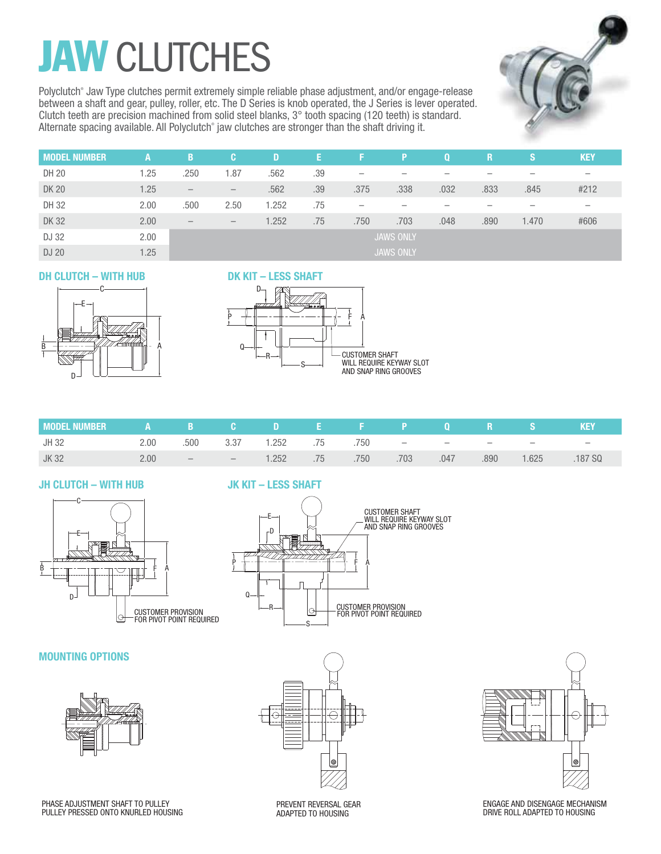## **JAW CLUTCHES**

Polyclutch® Jaw Type clutches permit extremely simple reliable phase adjustment, and/or engage-release between a shaft and gear, pulley, roller, etc. The D Series is knob operated, the J Series is lever operated. Clutch teeth are precision machined from solid steel blanks, 3° tooth spacing (120 teeth) is standard. Alternate spacing available. All Polyclutch<sup>®</sup> jaw clutches are stronger than the shaft driving it.



| <b>MODEL</b><br>. NUMBER | А    | B                        | œ.                              | D     | 137 | -F.                      |                  | $\bf{0}$ | R    | IS.   | <b>KEY</b> |
|--------------------------|------|--------------------------|---------------------------------|-------|-----|--------------------------|------------------|----------|------|-------|------------|
| DH 20                    | 1.25 | .250                     | 1.87                            | .562  | .39 | $\overline{\phantom{0}}$ |                  | -        |      |       |            |
| <b>DK 20</b>             | 1.25 | $\overline{\phantom{m}}$ | $\hspace{0.1mm}-\hspace{0.1mm}$ | .562  | .39 | .375                     | .338             | .032     | .833 | .845  | #212       |
| DH 32                    | 2.00 | .500                     | 2.50                            | 1.252 | .75 | $\overline{\phantom{0}}$ |                  |          |      |       |            |
| <b>DK32</b>              | 2.00 | $\overline{\phantom{m}}$ | $\overline{\phantom{m}}$        | 1.252 | .75 | .750                     | .703             | .048     | .890 | 1.470 | #606       |
| DJ 32                    | 2.00 |                          |                                 |       |     |                          | <b>JAWS ONLY</b> |          |      |       |            |
| DJ 20                    | 1.25 | <b>JAWS ONLY</b>         |                                 |       |     |                          |                  |          |      |       |            |

### **DH CLUTCH – WITH HUB**



### **DK KIT – LESS SHAFT**



| ■MODELNUMBER    A    B   C    D    E    F    P   O    R   S |                   |      |                                 |                                   |      |      |      |      |        | <b>KEY</b> |
|-------------------------------------------------------------|-------------------|------|---------------------------------|-----------------------------------|------|------|------|------|--------|------------|
| JH 32                                                       | 2.00              | .500 |                                 | $3.37$ $1.252$ $.75$ $.750$ $  -$ |      |      |      |      | $\sim$ | $\sim$     |
| JK 32                                                       | 2.00 <sub>1</sub> |      | the contract of the contract of | $1.252$ .75                       | .750 | .703 | .047 | .890 | 1.625  | 187 SQ     |

### **JH CLUTCH – WITH HUB**



### **JK KIT – LESS SHAFT**



### **MOUNTING OPTIONS**



PREVENT REVERSAL GEAR ADAPTED TO HOUSING



ENGAGE AND DISENGAGE MECHANISM DRIVE ROLL ADAPTED TO HOUSING